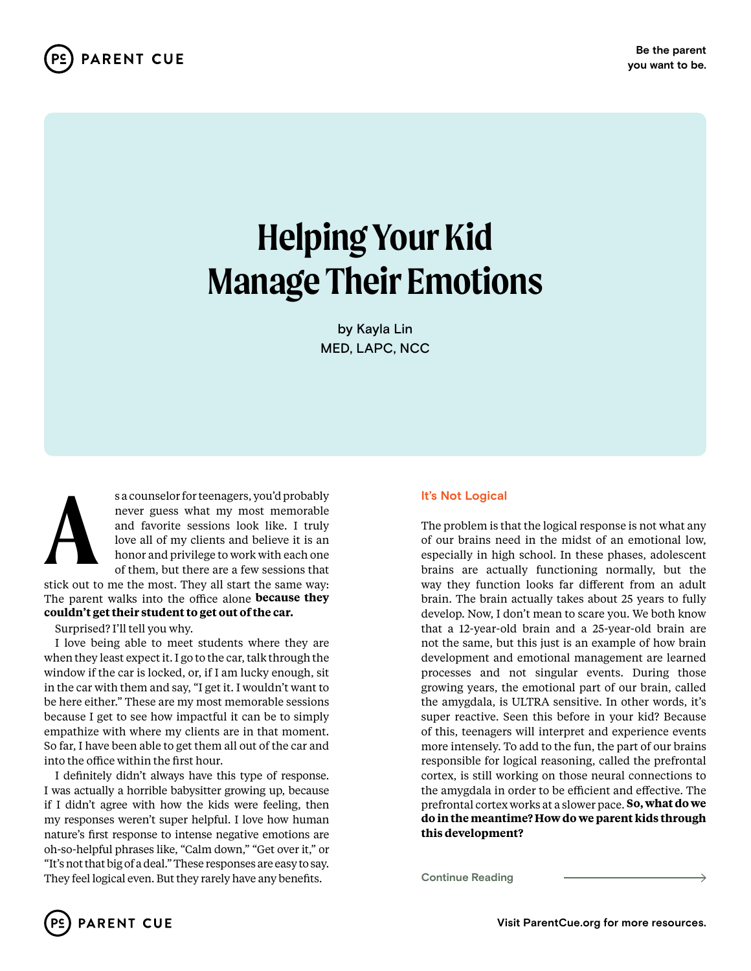

# **Helping Your Kid Manage Their Emotions**

by Kayla Lin MED, LAPC, NCC



s a counselor for teenagers, you'd probably<br>never guess what my most memorable<br>and favorite sessions look like. I truly<br>love all of my clients and believe it is an<br>honor and privilege to work with each one<br>of them, but the never guess what my most memorable and favorite sessions look like. I truly love all of my clients and believe it is an honor and privilege to work with each one of them, but there are a few sessions that

stick out to me the most. They all start the same way: The parent walks into the office alone **because they couldn't get their student to get out of the car.**

Surprised? I'll tell you why.

I love being able to meet students where they are when they least expect it. I go to the car, talk through the window if the car is locked, or, if I am lucky enough, sit in the car with them and say, "I get it. I wouldn't want to be here either." These are my most memorable sessions because I get to see how impactful it can be to simply empathize with where my clients are in that moment. So far, I have been able to get them all out of the car and into the office within the first hour.

I definitely didn't always have this type of response. I was actually a horrible babysitter growing up, because if I didn't agree with how the kids were feeling, then my responses weren't super helpful. I love how human nature's first response to intense negative emotions are oh-so-helpful phrases like, "Calm down," "Get over it," or "It's not that big of a deal." These responses are easy to say. They feel logical even. But they rarely have any benefits. **Continue Reading**

# **It's Not Logical**

The problem is that the logical response is not what any of our brains need in the midst of an emotional low, especially in high school. In these phases, adolescent brains are actually functioning normally, but the way they function looks far different from an adult brain. The brain actually takes about 25 years to fully develop. Now, I don't mean to scare you. We both know that a 12-year-old brain and a 25-year-old brain are not the same, but this just is an example of how brain development and emotional management are learned processes and not singular events. During those growing years, the emotional part of our brain, called the amygdala, is ULTRA sensitive. In other words, it's super reactive. Seen this before in your kid? Because of this, teenagers will interpret and experience events more intensely. To add to the fun, the part of our brains responsible for logical reasoning, called the prefrontal cortex, is still working on those neural connections to the amygdala in order to be efficient and effective. The prefrontal cortex works at a slower pace. **So, what do we do in the meantime? How do we parent kids through this development?**